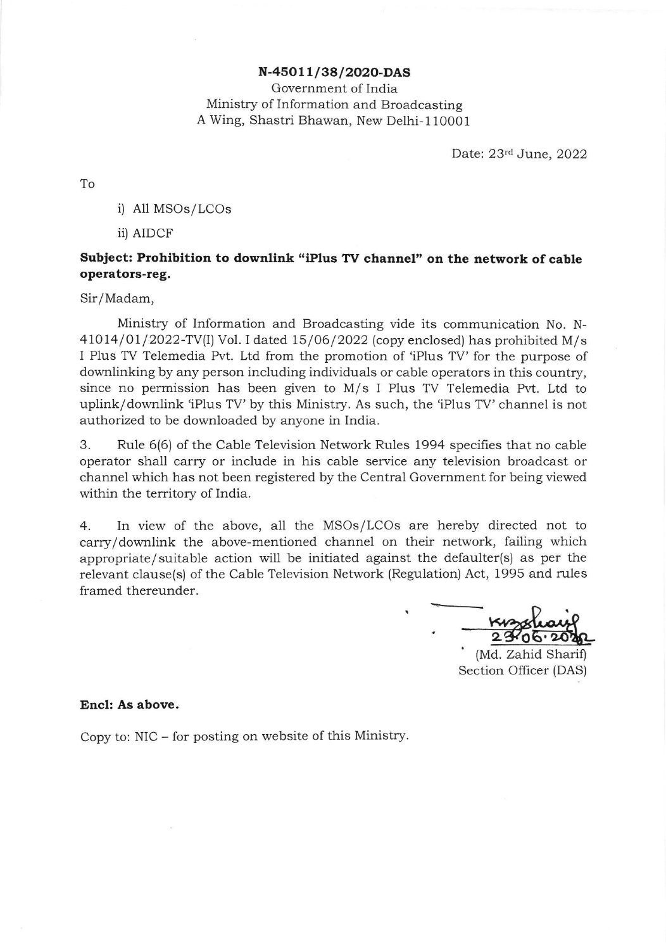## N-45O11/38/2O2O-DAS

Government of India Ministry of Information and Broadcasting A Wing, Shastri Bhawan, New Delhi- 110001

Date: 23rd June, 2022

To

i) All MSOs/LCOs

iil AIDCF

## Subject: Prohibition to downlink "iPlus TV channel" on the network of cable operators-reg.

Sir/Madam,

Ministry of Information and Broadcasting vide its communication No. N- $41014/01/2022$ -TV(I) Vol. I dated  $15/06/2022$  (copy enclosed) has prohibited M/s I Plus TV Telemedia Pvt. Ltd from the promotion of iPlus TV' for the purpose of downlinking by any person including individuals or cable operators in this country, since no permission has been given to M/s I Plus TV Telemedia Pvt. Ltd to uplink/downlink 'iPlus TV' by this Ministry. As such, the 'iPlus TV' channel is not authorized to be downloaded by anyone in India.

3. Rule 6(6) of the Cable Television Network Rules 1994 specifies that no cable operator sha1l carry or include in his cable service any television broadcast or channel which has not been registered by the Central Government for being viewed within the territory of India.

4. In view of the above, a1l the MSOs/LCOs are hereby directed not to carry/downlink the above-mentioned channel on their network, failing which appropriate/ suitable action will be initiated against the defaulter(s) as per the relevant clause(s) of the Cable Television Network (Regulation) Act, 1995 and rules framed thereunder.

<u>23%</u>

' (Md. Zahid Sharif) Section Officer (DAS)

## Encl: As above.

Copy to: NIC - for posting on website of this Ministry.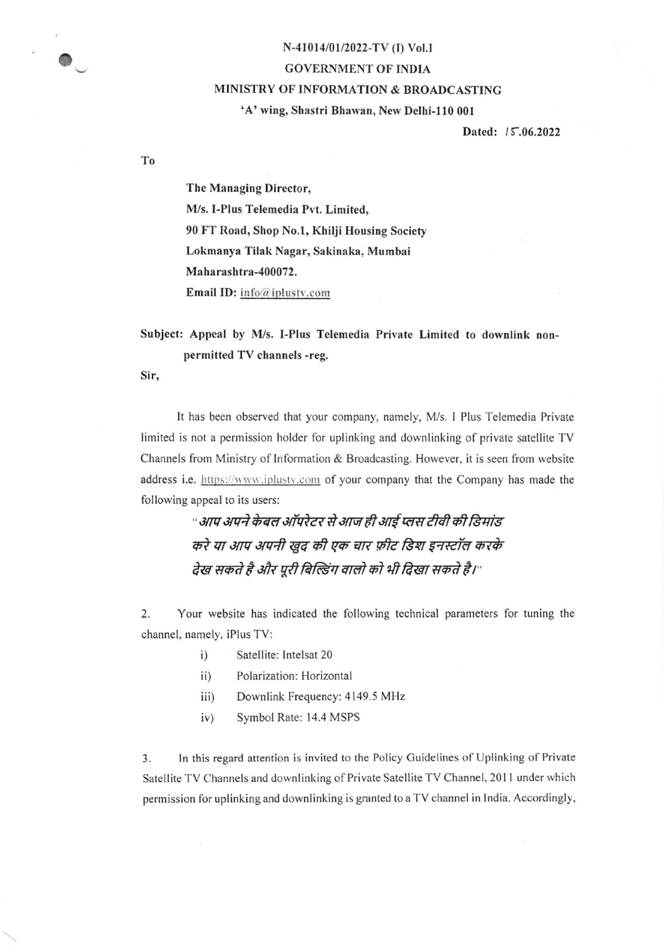## N-41014/01/2022-TV (I) Vol.I GOVERNMENT OF INDIA MINISTRY OF INFORMATION & BROADCASTING 'A' wing, Shastri Bhawan, New Delhi-110 001

Dated: 15.06.2022

The Managing Director, M/s. I-Plus Telemedia Pvt. Limited, 90 FT Road, Shop No.l, Khilji Housing Society Lokmanya Tilak Nagar, Sakinaka, Mumbai Maharashtra-400072. Email ID: info@iplustv.com

Subject: Appeal by M/s. I-Plus Telemedia Private Limited to downlink nonpermitted TV channels -reg.

Sir,

To

o

It has been observed that your company, namely, M/s. I Plus Telemedia Private limited is not a permission holder for uplinking and downlinking of private satellite TV Channels from Ministry of Information & Broadcasting. However, it is seen from website address i.e. https://www.iplusty.com of your company that the Company has made the following appeal to its users:

> " आप अपने केबल ऑपरेटर से आज ही आई प्लस टीवी की डिमांड करे या आप अपनी खुद की एक चार फ़ीट डिश इनस्टॉल करके देख सकते है और पूरी बिल्डिंग वालो को भी दिखा सकते है।"

2. Your website has indicated the following technical parameters for tuning the channel, namely, iPlus TV:

- i) Satellite: Intelsat <sup>20</sup>
- ii) Polarization: Horizontal
- iii) Downlink Frequency: 4149.5 MHz
- iv) Symbol Rate: 14.4 MSPS

3. In this regard attention is invited to the Policy Guidelines of Uplinking of Private Satellite TV Channels and downlinking of Private Satellite TV Channel, 2011 under which permission for uplinking and downlinking is granted to a TV channel in lndia. Accordingly,